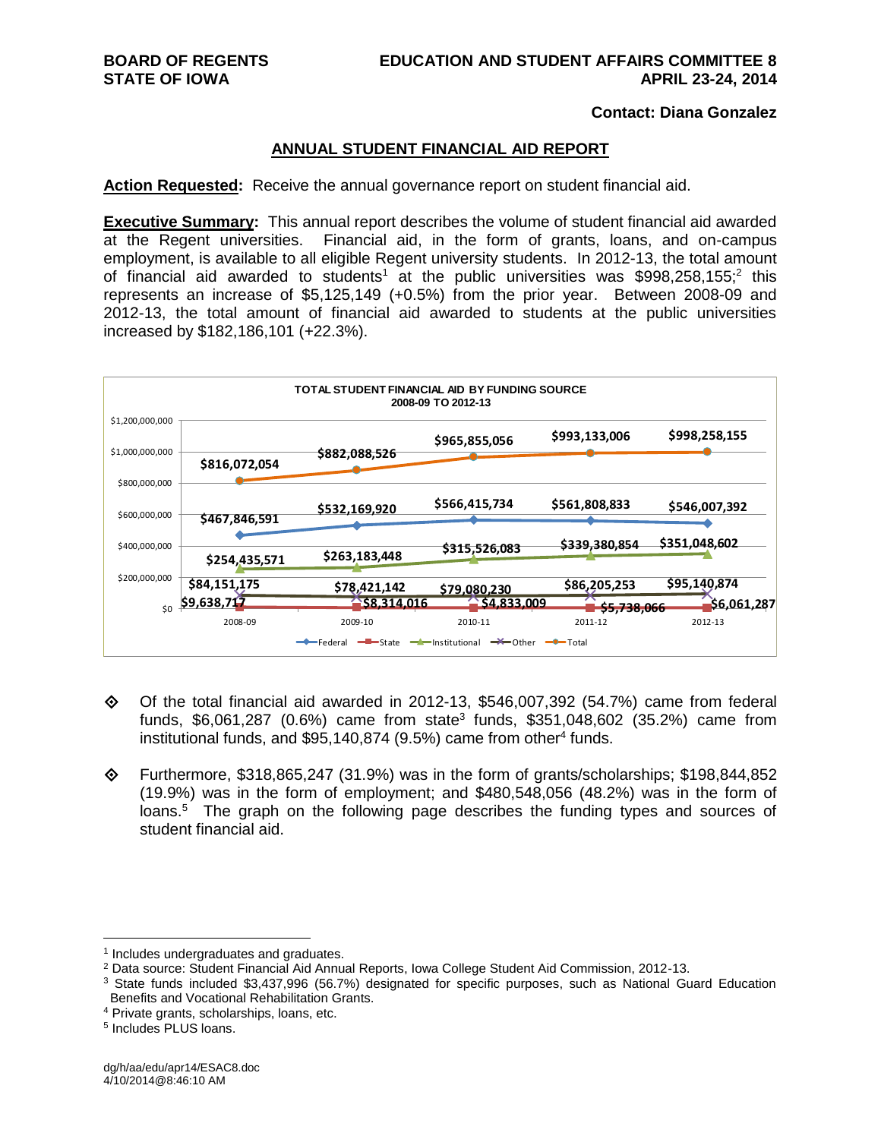#### **Contact: Diana Gonzalez**

#### **ANNUAL STUDENT FINANCIAL AID REPORT**

**Action Requested:** Receive the annual governance report on student financial aid.

**Executive Summary:** This annual report describes the volume of student financial aid awarded at the Regent universities. Financial aid, in the form of grants, loans, and on-campus employment, is available to all eligible Regent university students. In 2012-13, the total amount of financial aid awarded to students<sup>1</sup> at the public universities was \$998,258,155;<sup>2</sup> this represents an increase of \$5,125,149 (+0.5%) from the prior year. Between 2008-09 and 2012-13, the total amount of financial aid awarded to students at the public universities increased by \$182,186,101 (+22.3%).



- $\diamond$  Of the total financial aid awarded in 2012-13, \$546,007,392 (54.7%) came from federal funds, \$6,061,287 (0.6%) came from state<sup>3</sup> funds, \$351,048,602 (35.2%) came from institutional funds, and \$95,140,874 (9.5%) came from other<sup>4</sup> funds.
- Furthermore, \$318,865,247 (31.9%) was in the form of grants/scholarships; \$198,844,852 (19.9%) was in the form of employment; and \$480,548,056 (48.2%) was in the form of loans.<sup>5</sup> The graph on the following page describes the funding types and sources of student financial aid.

<sup>&</sup>lt;sup>1</sup> Includes undergraduates and graduates.

<sup>2</sup> Data source: Student Financial Aid Annual Reports, Iowa College Student Aid Commission, 2012-13.

<sup>&</sup>lt;sup>3</sup> State funds included \$3,437,996 (56.7%) designated for specific purposes, such as National Guard Education Benefits and Vocational Rehabilitation Grants.

<sup>4</sup> Private grants, scholarships, loans, etc.

<sup>5</sup> Includes PLUS loans.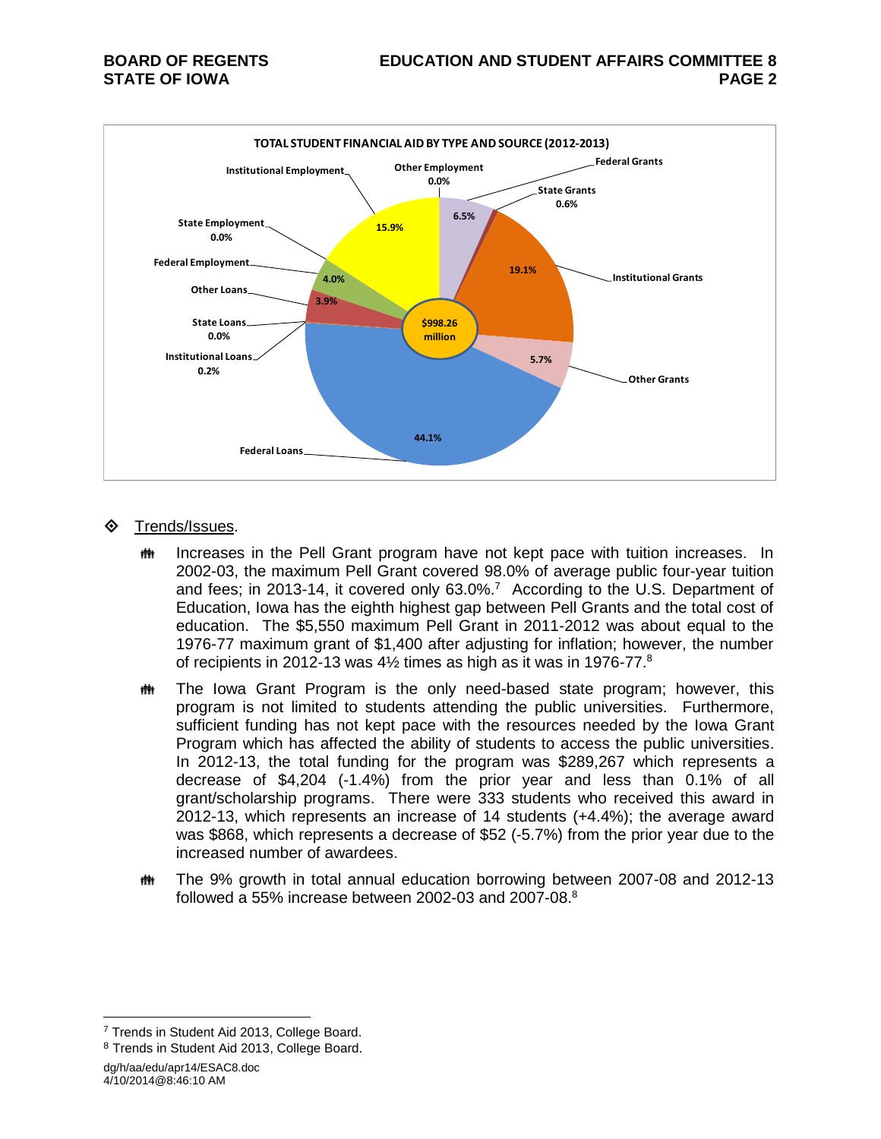

#### Trends/Issues.

- **INGLEX** Increases in the Pell Grant program have not kept pace with tuition increases. In 2002-03, the maximum Pell Grant covered 98.0% of average public four-year tuition and fees; in 2013-14, it covered only  $63.0\%$ .<sup>7</sup> According to the U.S. Department of Education, Iowa has the eighth highest gap between Pell Grants and the total cost of education. The \$5,550 maximum Pell Grant in 2011-2012 was about equal to the 1976-77 maximum grant of \$1,400 after adjusting for inflation; however, the number of recipients in 2012-13 was  $4\frac{1}{2}$  times as high as it was in 1976-77.<sup>8</sup>
- **##** The Iowa Grant Program is the only need-based state program; however, this program is not limited to students attending the public universities. Furthermore, sufficient funding has not kept pace with the resources needed by the Iowa Grant Program which has affected the ability of students to access the public universities. In 2012-13, the total funding for the program was \$289,267 which represents a decrease of \$4,204 (-1.4%) from the prior year and less than 0.1% of all grant/scholarship programs. There were 333 students who received this award in 2012-13, which represents an increase of 14 students (+4.4%); the average award was \$868, which represents a decrease of \$52 (-5.7%) from the prior year due to the increased number of awardees.
- The 9% growth in total annual education borrowing between 2007-08 and 2012-13 followed a 55% increase between 2002-03 and 2007-08. $^8$

dg/h/aa/edu/apr14/ESAC8.doc 4/10/2014@8:46:10 AM

<sup>&</sup>lt;sup>7</sup> Trends in Student Aid 2013, College Board.

<sup>8</sup> Trends in Student Aid 2013, College Board.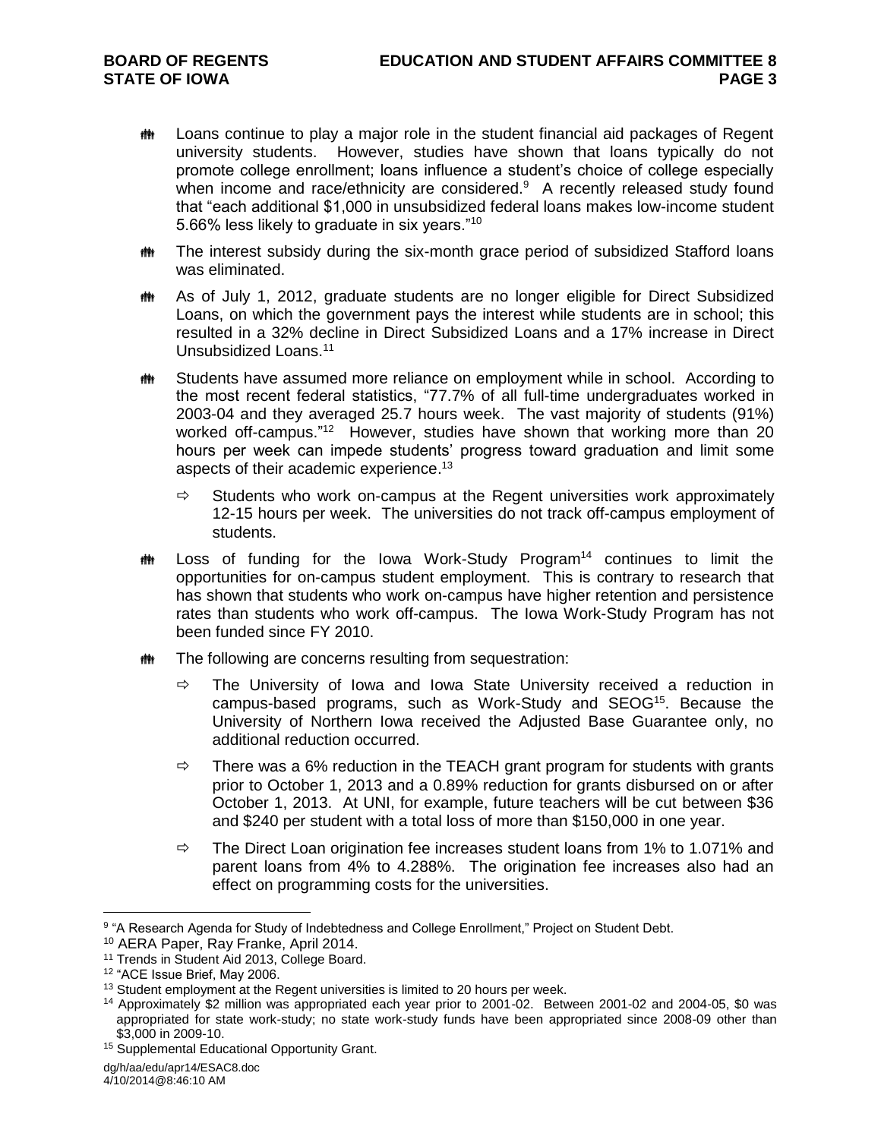- **##** Loans continue to play a major role in the student financial aid packages of Regent university students. However, studies have shown that loans typically do not promote college enrollment; loans influence a student's choice of college especially when income and race/ethnicity are considered. $9$  A recently released study found that "each additional \$1,000 in unsubsidized federal loans makes low-income student 5.66% less likely to graduate in six years."<sup>10</sup>
- **##** The interest subsidy during the six-month grace period of subsidized Stafford loans was eliminated.
- **##** As of July 1, 2012, graduate students are no longer eligible for Direct Subsidized Loans, on which the government pays the interest while students are in school; this resulted in a 32% decline in Direct Subsidized Loans and a 17% increase in Direct Unsubsidized Loans.<sup>11</sup>
- **##** Students have assumed more reliance on employment while in school. According to the most recent federal statistics, "77.7% of all full-time undergraduates worked in 2003-04 and they averaged 25.7 hours week. The vast majority of students (91%) worked off-campus."<sup>12</sup> However, studies have shown that working more than 20 hours per week can impede students' progress toward graduation and limit some aspects of their academic experience.<sup>13</sup>
	- $\Rightarrow$  Students who work on-campus at the Regent universities work approximately 12-15 hours per week. The universities do not track off-campus employment of students.
- **##** Loss of funding for the Iowa Work-Study Program<sup>14</sup> continues to limit the opportunities for on-campus student employment. This is contrary to research that has shown that students who work on-campus have higher retention and persistence rates than students who work off-campus. The Iowa Work-Study Program has not been funded since FY 2010.
- **##** The following are concerns resulting from sequestration:
	- $\Rightarrow$  The University of Iowa and Iowa State University received a reduction in campus-based programs, such as Work-Study and SEOG<sup>15</sup>. Because the University of Northern Iowa received the Adjusted Base Guarantee only, no additional reduction occurred.
	- $\Rightarrow$  There was a 6% reduction in the TEACH grant program for students with grants prior to October 1, 2013 and a 0.89% reduction for grants disbursed on or after October 1, 2013. At UNI, for example, future teachers will be cut between \$36 and \$240 per student with a total loss of more than \$150,000 in one year.
	- $\Rightarrow$  The Direct Loan origination fee increases student loans from 1% to 1.071% and parent loans from 4% to 4.288%. The origination fee increases also had an effect on programming costs for the universities.

<sup>&</sup>lt;sup>9</sup> "A Research Agenda for Study of Indebtedness and College Enrollment," Project on Student Debt.

<sup>10</sup> AERA Paper, Ray Franke, April 2014.

<sup>&</sup>lt;sup>11</sup> Trends in Student Aid 2013, College Board.

<sup>12</sup> "ACE Issue Brief, May 2006.

<sup>&</sup>lt;sup>13</sup> Student employment at the Regent universities is limited to 20 hours per week.

<sup>14</sup> Approximately \$2 million was appropriated each year prior to 2001-02. Between 2001-02 and 2004-05, \$0 was appropriated for state work-study; no state work-study funds have been appropriated since 2008-09 other than \$3,000 in 2009-10.

<sup>15</sup> Supplemental Educational Opportunity Grant.

dg/h/aa/edu/apr14/ESAC8.doc

<sup>4/10/2014@8:46:10</sup> AM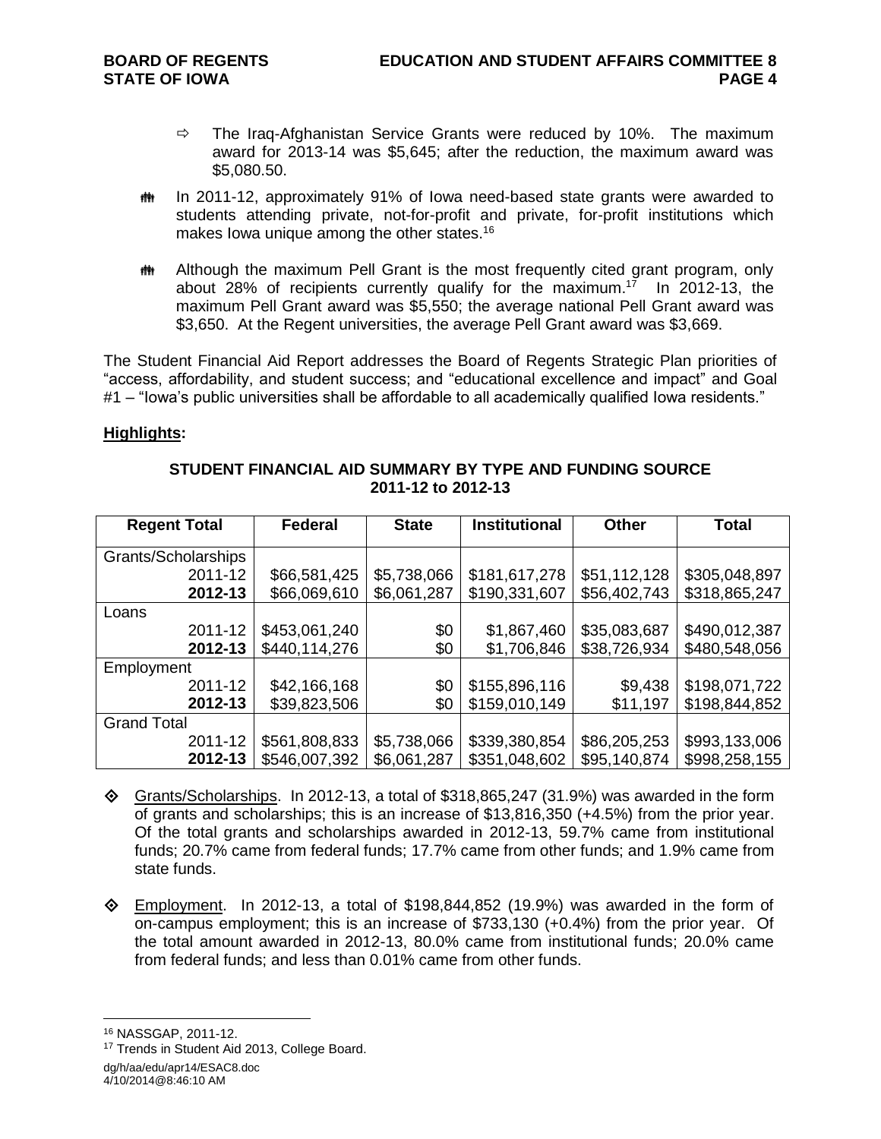- $\Rightarrow$  The Iraq-Afghanistan Service Grants were reduced by 10%. The maximum award for 2013-14 was \$5,645; after the reduction, the maximum award was \$5,080.50.
- **##** In 2011-12, approximately 91% of lowa need-based state grants were awarded to students attending private, not-for-profit and private, for-profit institutions which makes Iowa unique among the other states.<sup>16</sup>
- **##** Although the maximum Pell Grant is the most frequently cited grant program, only about 28% of recipients currently qualify for the maximum. 17 In 2012-13, the maximum Pell Grant award was \$5,550; the average national Pell Grant award was \$3,650. At the Regent universities, the average Pell Grant award was \$3,669.

The Student Financial Aid Report addresses the Board of Regents Strategic Plan priorities of "access, affordability, and student success; and "educational excellence and impact" and Goal #1 – "lowa's public universities shall be affordable to all academically qualified lowa residents."

#### **Highlights:**

| <b>Regent Total</b> | <b>Federal</b> | <b>State</b> | <b>Institutional</b> | <b>Other</b> | <b>Total</b>  |
|---------------------|----------------|--------------|----------------------|--------------|---------------|
| Grants/Scholarships |                |              |                      |              |               |
| 2011-12             | \$66,581,425   | \$5,738,066  | \$181,617,278        | \$51,112,128 | \$305,048,897 |
| 2012-13             | \$66,069,610   | \$6,061,287  | \$190,331,607        | \$56,402,743 | \$318,865,247 |
| Loans               |                |              |                      |              |               |
| 2011-12             | \$453,061,240  | \$0          | \$1,867,460          | \$35,083,687 | \$490,012,387 |
| 2012-13             | \$440,114,276  | \$0          | \$1,706,846          | \$38,726,934 | \$480,548,056 |
| Employment          |                |              |                      |              |               |
| 2011-12             | \$42,166,168   | \$0          | \$155,896,116        | \$9,438      | \$198,071,722 |
| 2012-13             | \$39,823,506   | \$0          | \$159,010,149        | \$11,197     | \$198,844,852 |
| <b>Grand Total</b>  |                |              |                      |              |               |
| 2011-12             | \$561,808,833  | \$5,738,066  | \$339,380,854        | \$86,205,253 | \$993,133,006 |
| 2012-13             | \$546,007,392  | \$6,061,287  | \$351,048,602        | \$95,140,874 | \$998,258,155 |

#### **STUDENT FINANCIAL AID SUMMARY BY TYPE AND FUNDING SOURCE 2011-12 to 2012-13**

- $\textcircled{}$  Grants/Scholarships. In 2012-13, a total of \$318,865,247 (31.9%) was awarded in the form of grants and scholarships; this is an increase of \$13,816,350 (+4.5%) from the prior year. Of the total grants and scholarships awarded in 2012-13, 59.7% came from institutional funds; 20.7% came from federal funds; 17.7% came from other funds; and 1.9% came from state funds.
- $\diamond$  Employment. In 2012-13, a total of \$198,844,852 (19.9%) was awarded in the form of on-campus employment; this is an increase of \$733,130 (+0.4%) from the prior year. Of the total amount awarded in 2012-13, 80.0% came from institutional funds; 20.0% came from federal funds; and less than 0.01% came from other funds.

<sup>16</sup> NASSGAP, 2011-12.

dg/h/aa/edu/apr14/ESAC8.doc <sup>17</sup> Trends in Student Aid 2013, College Board.

<sup>4/10/2014@8:46:10</sup> AM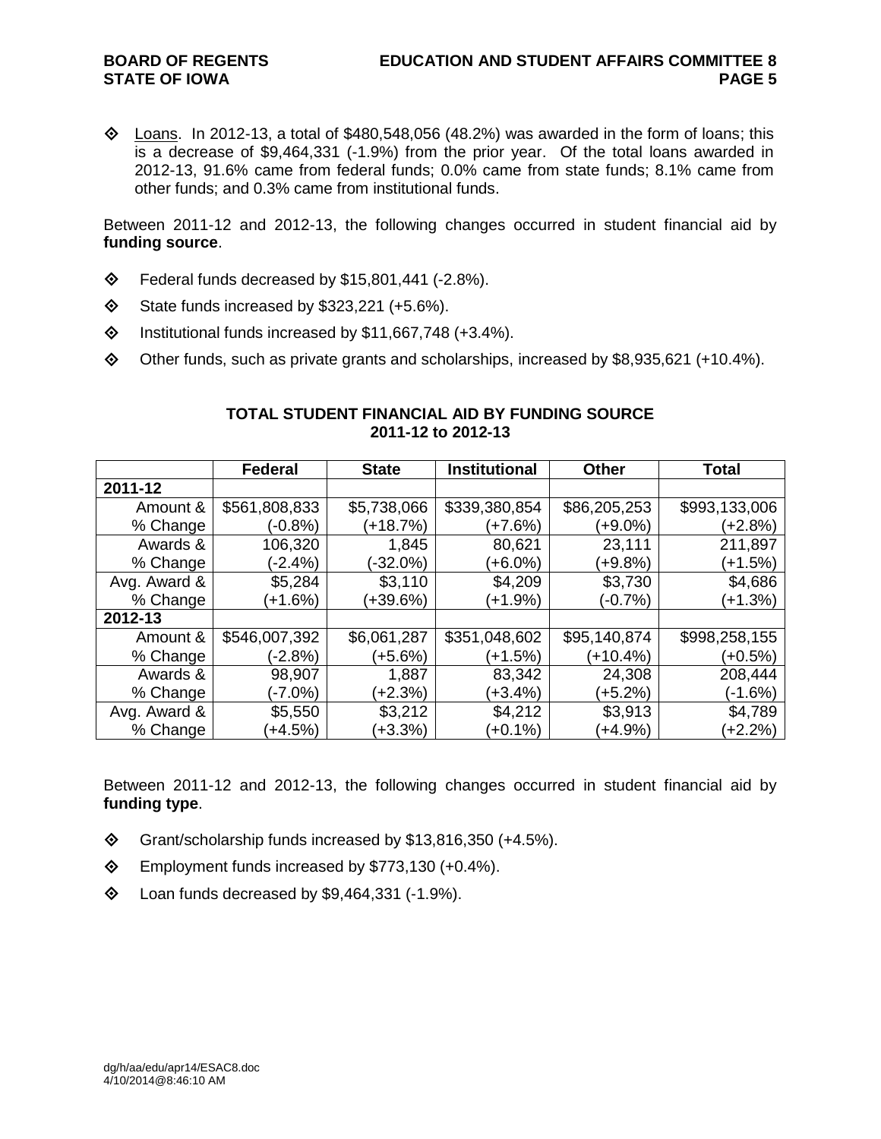$\Diamond$  Loans. In 2012-13, a total of \$480,548,056 (48.2%) was awarded in the form of loans; this is a decrease of \$9,464,331 (-1.9%) from the prior year. Of the total loans awarded in 2012-13, 91.6% came from federal funds; 0.0% came from state funds; 8.1% came from other funds; and 0.3% came from institutional funds.

Between 2011-12 and 2012-13, the following changes occurred in student financial aid by **funding source**.

- $\diamond$  Federal funds decreased by \$15,801,441 (-2.8%).
- $\diamond$  State funds increased by \$323,221 (+5.6%).
- $\lozenge$  Institutional funds increased by \$11,667,748 (+3.4%).
- Other funds, such as private grants and scholarships, increased by \$8,935,621 (+10.4%).

|              | Federal       | <b>State</b> | <b>Institutional</b> | <b>Other</b> | Total         |
|--------------|---------------|--------------|----------------------|--------------|---------------|
| 2011-12      |               |              |                      |              |               |
| Amount &     | \$561,808,833 | \$5,738,066  | \$339,380,854        | \$86,205,253 | \$993,133,006 |
| % Change     | $(-0.8%)$     | (+18.7%)     | (+7.6%)              | (+9.0%)      | (+2.8%)       |
| Awards &     | 106,320       | 1,845        | 80,621               | 23,111       | 211,897       |
| % Change     | (-2.4%)       | (-32.0%)     | $(+6.0\%)$           | $(+9.8%)$    | $(+1.5%)$     |
| Avg. Award & | \$5,284       | \$3,110      | \$4,209              | \$3,730      | \$4,686       |
| % Change     | $(+1.6%)$     | (+39.6%)     | $(+1.9\%)$           | $(-0.7%)$    | $(+1.3%)$     |
| 2012-13      |               |              |                      |              |               |
| Amount &     | \$546,007,392 | \$6,061,287  | \$351,048,602        | \$95,140,874 | \$998,258,155 |
| % Change     | (-2.8%)       | (+5.6%)      | $(+1.5%)$            | $(+10.4%)$   | (+0.5%)       |
| Awards &     | 98,907        | 1,887        | 83,342               | 24,308       | 208,444       |
| % Change     | (-7.0%)       | $(+2.3%)$    | $(+3.4\%)$           | $(+5.2%)$    | (-1.6%)       |
| Avg. Award & | \$5,550       | \$3,212      | \$4,212              | \$3,913      | \$4,789       |
| % Change     | $+4.5\%$      | $(+3.3\%)$   | $(+0.1\%)$           | $(+4.9%)$    | $(+2.2%)$     |

### **TOTAL STUDENT FINANCIAL AID BY FUNDING SOURCE 2011-12 to 2012-13**

Between 2011-12 and 2012-13, the following changes occurred in student financial aid by **funding type**.

- $\textcircled{}$  Grant/scholarship funds increased by \$13,816,350 (+4.5%).
- Employment funds increased by \$773,130 (+0.4%).
- $\diamond$  Loan funds decreased by \$9,464,331 (-1.9%).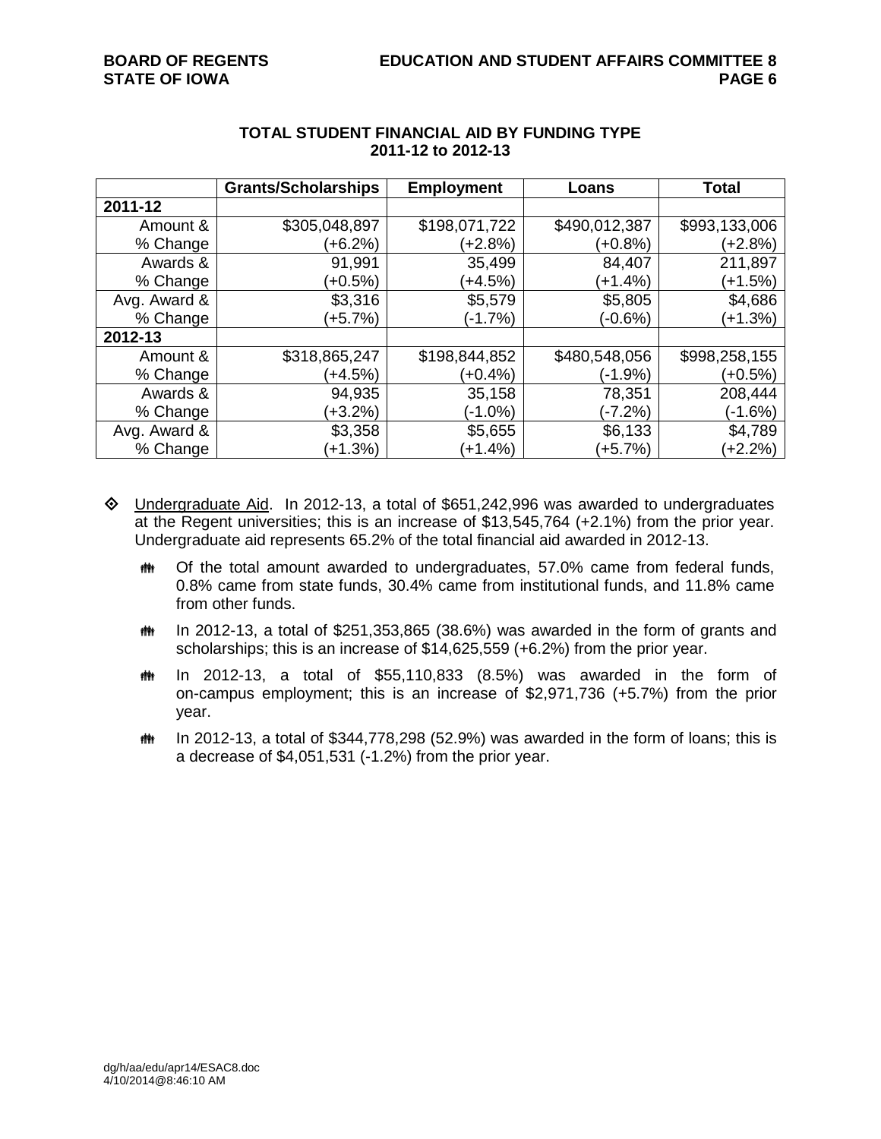|              | <b>Grants/Scholarships</b> | <b>Employment</b> | Loans         | Total         |
|--------------|----------------------------|-------------------|---------------|---------------|
| 2011-12      |                            |                   |               |               |
| Amount &     | \$305,048,897              | \$198,071,722     | \$490,012,387 | \$993,133,006 |
| % Change     | $(+6.2%)$                  | (+2.8%)           | (+0.8%)       | (+2.8%)       |
| Awards &     | 91,991                     | 35,499            | 84,407        | 211,897       |
| % Change     | $+0.5%$                    | (+4.5%)           | $(+1.4%)$     | (+1.5%)       |
| Avg. Award & | \$3,316                    | \$5,579           | \$5,805       | \$4,686       |
| % Change     | $(+5.7%)$                  | $(-1.7%)$         | (-0.6%)       | $(+1.3%)$     |
| 2012-13      |                            |                   |               |               |
| Amount &     | \$318,865,247              | \$198,844,852     | \$480,548,056 | \$998,258,155 |
| % Change     | $(+4.5%)$                  | (+0.4%)           | (-1.9%)       | $(+0.5%)$     |
| Awards &     | 94,935                     | 35,158            | 78,351        | 208,444       |
| % Change     | $(+3.2\%)$                 | $(-1.0\%)$        | (-7.2%)       | (-1.6%)       |
| Avg. Award & | \$3,358                    | \$5,655           | \$6,133       | \$4,789       |
| % Change     | $+1.3%$                    | $(+1.4%)$         | $(+5.7%)$     | $(+2.2%)$     |

#### **TOTAL STUDENT FINANCIAL AID BY FUNDING TYPE 2011-12 to 2012-13**

- $\Diamond$  Undergraduate Aid. In 2012-13, a total of \$651,242,996 was awarded to undergraduates at the Regent universities; this is an increase of \$13,545,764 (+2.1%) from the prior year. Undergraduate aid represents 65.2% of the total financial aid awarded in 2012-13.
	- **##** Of the total amount awarded to undergraduates, 57.0% came from federal funds, 0.8% came from state funds, 30.4% came from institutional funds, and 11.8% came from other funds.
	- $m$  In 2012-13, a total of \$251,353,865 (38.6%) was awarded in the form of grants and scholarships; this is an increase of \$14,625,559 (+6.2%) from the prior year.
	- $m$  In 2012-13, a total of \$55,110,833 (8.5%) was awarded in the form of on-campus employment; this is an increase of \$2,971,736 (+5.7%) from the prior year.
	- $m$  In 2012-13, a total of \$344,778,298 (52.9%) was awarded in the form of loans; this is a decrease of \$4,051,531 (-1.2%) from the prior year.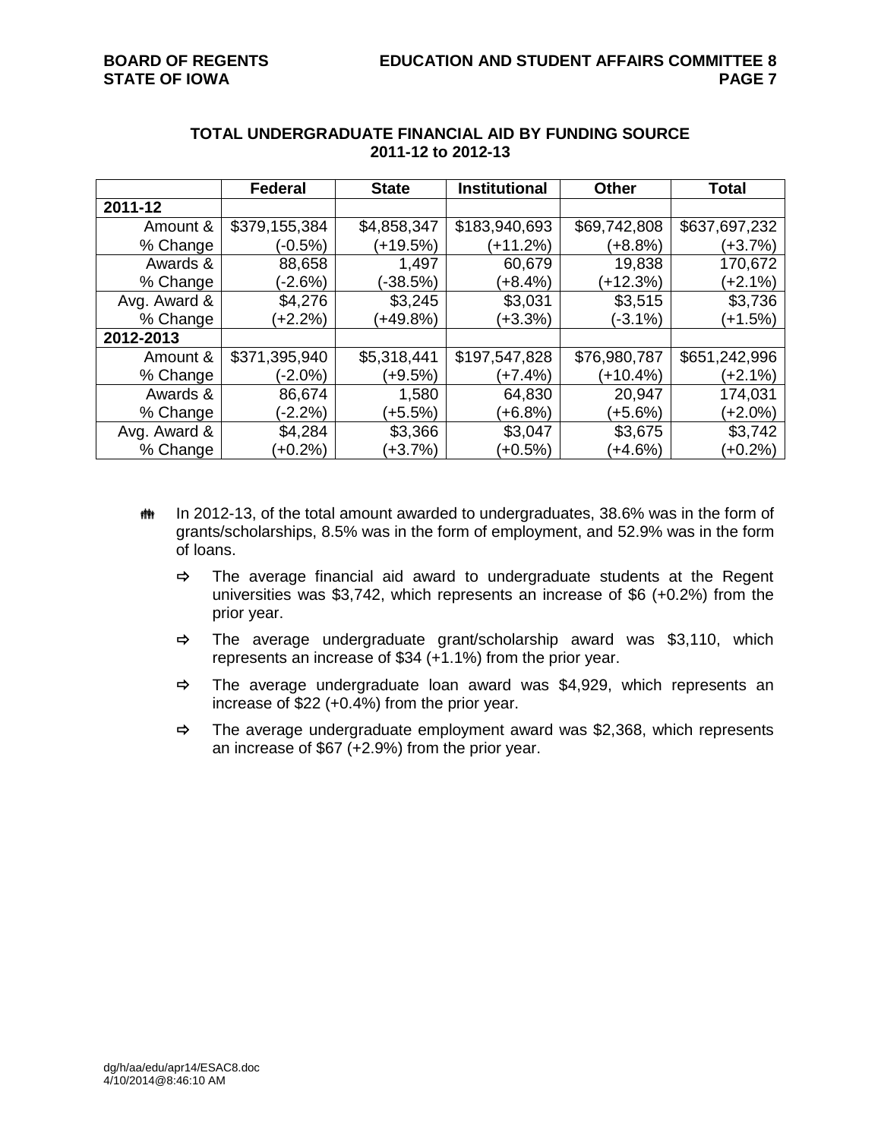|              | <b>Federal</b> | <b>State</b> | <b>Institutional</b> | <b>Other</b> | <b>Total</b>  |
|--------------|----------------|--------------|----------------------|--------------|---------------|
| 2011-12      |                |              |                      |              |               |
| Amount &     | \$379,155,384  | \$4,858,347  | \$183,940,693        | \$69,742,808 | \$637,697,232 |
| % Change     | $(-0.5%)$      | $(+19.5%)$   | (+11.2%)             | (+8.8%)      | (+3.7%)       |
| Awards &     | 88,658         | 1,497        | 60,679               | 19,838       | 170,672       |
| % Change     | $(-2.6%)$      | $(-38.5%)$   | $(+8.4%)$            | (+12.3%)     | (+2.1%)       |
| Avg. Award & | \$4,276        | \$3,245      | \$3,031              | \$3,515      | \$3,736       |
| % Change     | $+2.2%$        | $(+49.8\%)$  | $(+3.3%)$            | $(-3.1\%)$   | (+1.5%)       |
| 2012-2013    |                |              |                      |              |               |
| Amount &     | \$371,395,940  | \$5,318,441  | \$197,547,828        | \$76,980,787 | \$651,242,996 |
| % Change     | $(-2.0\%)$     | (+9.5%)      | (+7.4%)              | (+10.4%)     | (+2.1%)       |
| Awards &     | 86,674         | 1,580        | 64,830               | 20,947       | 174,031       |
| % Change     | $(-2.2%)$      | $(+5.5%)$    | $(+6.8%)$            | $(+5.6%)$    | (+2.0%)       |
| Avg. Award & | \$4,284        | \$3,366      | \$3,047              | \$3,675      | \$3,742       |
| % Change     | $+0.2%$        | $(+3.7%)$    | $(+0.5%)$            | $(+4.6%)$    | $(+0.2\%)$    |

#### **TOTAL UNDERGRADUATE FINANCIAL AID BY FUNDING SOURCE 2011-12 to 2012-13**

- **##** In 2012-13, of the total amount awarded to undergraduates, 38.6% was in the form of grants/scholarships, 8.5% was in the form of employment, and 52.9% was in the form of loans.
	- $\Rightarrow$  The average financial aid award to undergraduate students at the Regent universities was \$3,742, which represents an increase of \$6 (+0.2%) from the prior year.
	- $\Rightarrow$  The average undergraduate grant/scholarship award was \$3,110, which represents an increase of \$34 (+1.1%) from the prior year.
	- $\Rightarrow$  The average undergraduate loan award was \$4,929, which represents an increase of \$22 (+0.4%) from the prior year.
	- $\Rightarrow$  The average undergraduate employment award was \$2,368, which represents an increase of \$67 (+2.9%) from the prior year.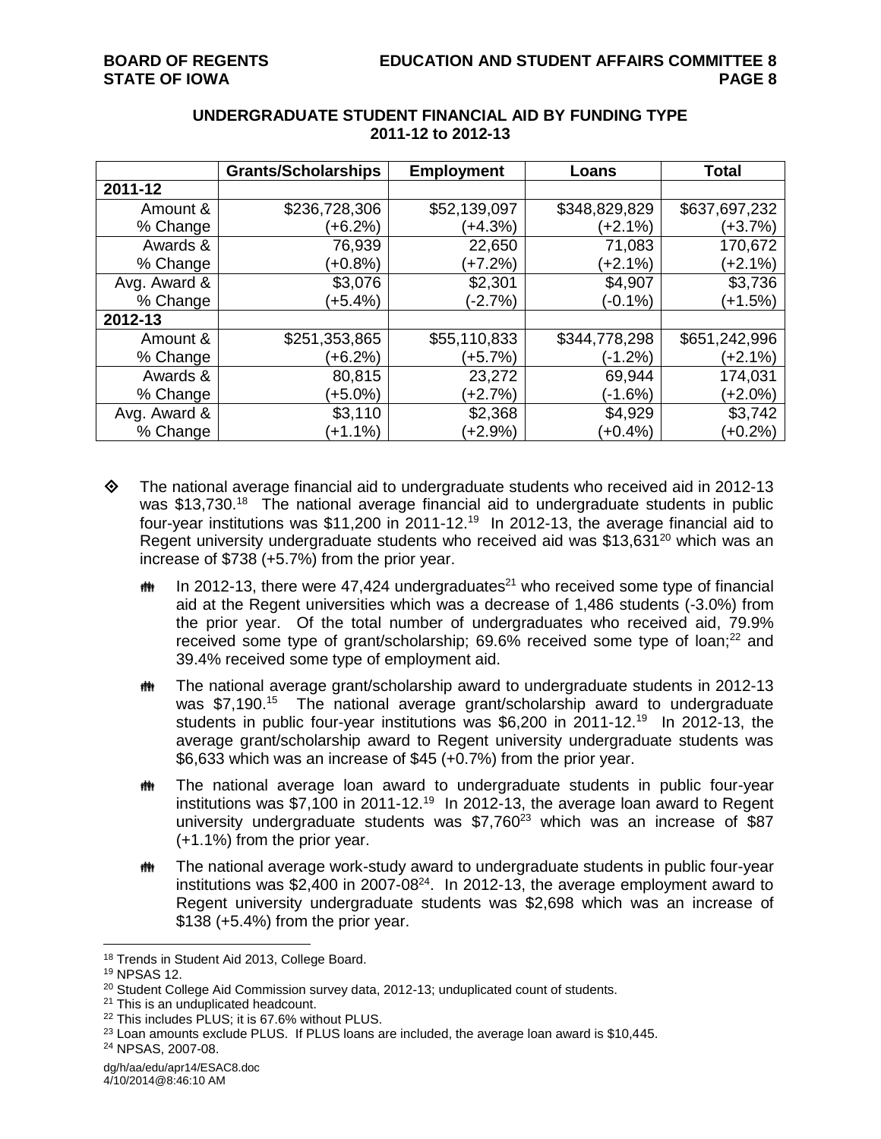|              | <b>Grants/Scholarships</b> | <b>Employment</b> | Loans         | <b>Total</b>  |
|--------------|----------------------------|-------------------|---------------|---------------|
| 2011-12      |                            |                   |               |               |
| Amount &     | \$236,728,306              | \$52,139,097      | \$348,829,829 | \$637,697,232 |
| % Change     | (+6.2%)                    | $(+4.3%)$         | (+2.1%)       | (+3.7%)       |
| Awards &     | 76,939                     | 22,650            | 71,083        | 170,672       |
| % Change     | $(+0.8\%)$                 | $+7.2%$           | $(+2.1\%)$    | $(+2.1%)$     |
| Avg. Award & | \$3,076                    | \$2,301           | \$4,907       | \$3,736       |
| % Change     | (+5.4%)                    | $(-2.7%)$         | $(-0.1\%)$    | $(+1.5%)$     |
| 2012-13      |                            |                   |               |               |
| Amount &     | \$251,353,865              | \$55,110,833      | \$344,778,298 | \$651,242,996 |
| % Change     | (+6.2%)                    | (+5.7%)           | (-1.2%)       | (+2.1%)       |
| Awards &     | 80,815                     | 23,272            | 69,944        | 174,031       |
| % Change     | $(+5.0\%)$                 | $(+2.7%)$         | $(-1.6%)$     | $(+2.0\%)$    |
| Avg. Award & | \$3,110                    | \$2,368           | \$4,929       | \$3,742       |
| % Change     | $(+1.1\%)$                 | $(+2.9\%)$        | $(+0.4%)$     | $(+0.2%)$     |

### **UNDERGRADUATE STUDENT FINANCIAL AID BY FUNDING TYPE 2011-12 to 2012-13**

- $\Diamond$  The national average financial aid to undergraduate students who received aid in 2012-13 was \$13,730.<sup>18</sup> The national average financial aid to undergraduate students in public four-year institutions was \$11,200 in 2011-12.<sup>19</sup> In 2012-13, the average financial aid to Regent university undergraduate students who received aid was  $$13,631^{20}$  which was an increase of \$738 (+5.7%) from the prior year.
	- $m$  In 2012-13, there were 47,424 undergraduates<sup>21</sup> who received some type of financial aid at the Regent universities which was a decrease of 1,486 students (-3.0%) from the prior year. Of the total number of undergraduates who received aid, 79.9% received some type of grant/scholarship; 69.6% received some type of loan;<sup>22</sup> and 39.4% received some type of employment aid.
	- **##** The national average grant/scholarship award to undergraduate students in 2012-13 was \$7,190.<sup>15</sup> The national average grant/scholarship award to undergraduate students in public four-year institutions was \$6,200 in 2011-12.<sup>19</sup> In 2012-13, the average grant/scholarship award to Regent university undergraduate students was \$6,633 which was an increase of \$45 (+0.7%) from the prior year.
	- **##** The national average loan award to undergraduate students in public four-year institutions was \$7,100 in 2011-12.<sup>19</sup> In 2012-13, the average loan award to Regent university undergraduate students was  $$7,760^{23}$  which was an increase of  $$87$ (+1.1%) from the prior year.
	- **##** The national average work-study award to undergraduate students in public four-year institutions was \$2,400 in 2007-08 $^{24}$ . In 2012-13, the average employment award to Regent university undergraduate students was \$2,698 which was an increase of \$138 (+5.4%) from the prior year.

<sup>18</sup> Trends in Student Aid 2013, College Board.

<sup>19</sup> NPSAS 12.

<sup>&</sup>lt;sup>20</sup> Student College Aid Commission survey data, 2012-13; unduplicated count of students.

<sup>&</sup>lt;sup>21</sup> This is an unduplicated headcount.

<sup>&</sup>lt;sup>22</sup> This includes PLUS; it is 67.6% without PLUS.

 $23$  Loan amounts exclude PLUS. If PLUS loans are included, the average loan award is \$10,445.

<sup>24</sup> NPSAS, 2007-08.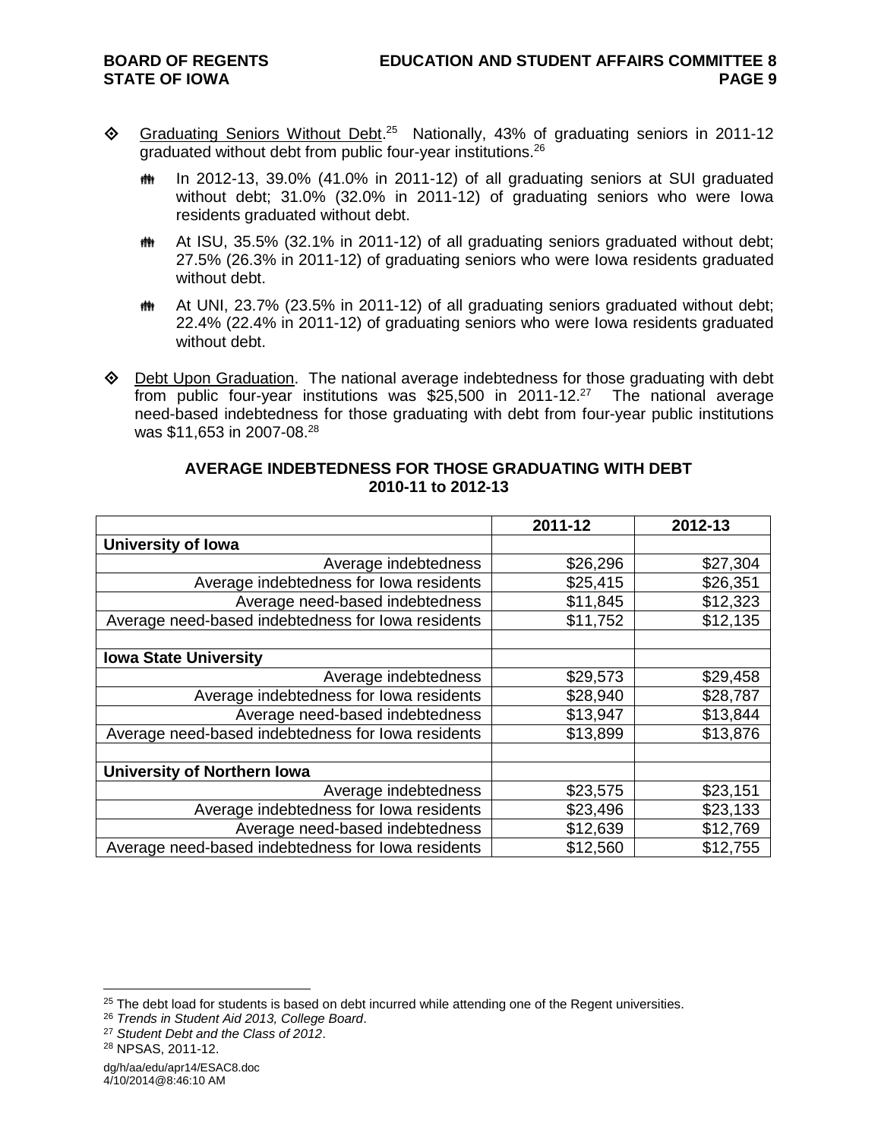- ◆ Graduating Seniors Without Debt.<sup>25</sup> Nationally, 43% of graduating seniors in 2011-12 graduated without debt from public four-year institutions.<sup>26</sup>
	- th In 2012-13, 39.0% (41.0% in 2011-12) of all graduating seniors at SUI graduated without debt; 31.0% (32.0% in 2011-12) of graduating seniors who were Iowa residents graduated without debt.
	- At ISU, 35.5% (32.1% in 2011-12) of all graduating seniors graduated without debt; 27.5% (26.3% in 2011-12) of graduating seniors who were Iowa residents graduated without debt.
	- **##** At UNI, 23.7% (23.5% in 2011-12) of all graduating seniors graduated without debt; 22.4% (22.4% in 2011-12) of graduating seniors who were Iowa residents graduated without debt.
- $\Diamond$  Debt Upon Graduation. The national average indebtedness for those graduating with debt from public four-year institutions was \$25,500 in 2011-12.<sup>27</sup> The national average need-based indebtedness for those graduating with debt from four-year public institutions was \$11,653 in 2007-08. 28

|                                                    | 2011-12  | 2012-13  |
|----------------------------------------------------|----------|----------|
| <b>University of lowa</b>                          |          |          |
| Average indebtedness                               | \$26,296 | \$27,304 |
| Average indebtedness for lowa residents            | \$25,415 | \$26,351 |
| Average need-based indebtedness                    | \$11,845 | \$12,323 |
| Average need-based indebtedness for lowa residents | \$11,752 | \$12,135 |
|                                                    |          |          |
| <b>Iowa State University</b>                       |          |          |
| Average indebtedness                               | \$29,573 | \$29,458 |
| Average indebtedness for lowa residents            | \$28,940 | \$28,787 |
| Average need-based indebtedness                    | \$13,947 | \$13,844 |
| Average need-based indebtedness for lowa residents | \$13,899 | \$13,876 |
|                                                    |          |          |
| <b>University of Northern lowa</b>                 |          |          |
| Average indebtedness                               | \$23,575 | \$23,151 |
| Average indebtedness for lowa residents            | \$23,496 | \$23,133 |
| Average need-based indebtedness                    | \$12,639 | \$12,769 |
| Average need-based indebtedness for lowa residents | \$12,560 | \$12,755 |

### **AVERAGE INDEBTEDNESS FOR THOSE GRADUATING WITH DEBT 2010-11 to 2012-13**

 $\overline{a}$ 

dg/h/aa/edu/apr14/ESAC8.doc 4/10/2014@8:46:10 AM

 $25$  The debt load for students is based on debt incurred while attending one of the Regent universities.

<sup>26</sup> *Trends in Student Aid 2013, College Board*.

<sup>27</sup> *Student Debt and the Class of 2012*.

<sup>28</sup> NPSAS, 2011-12.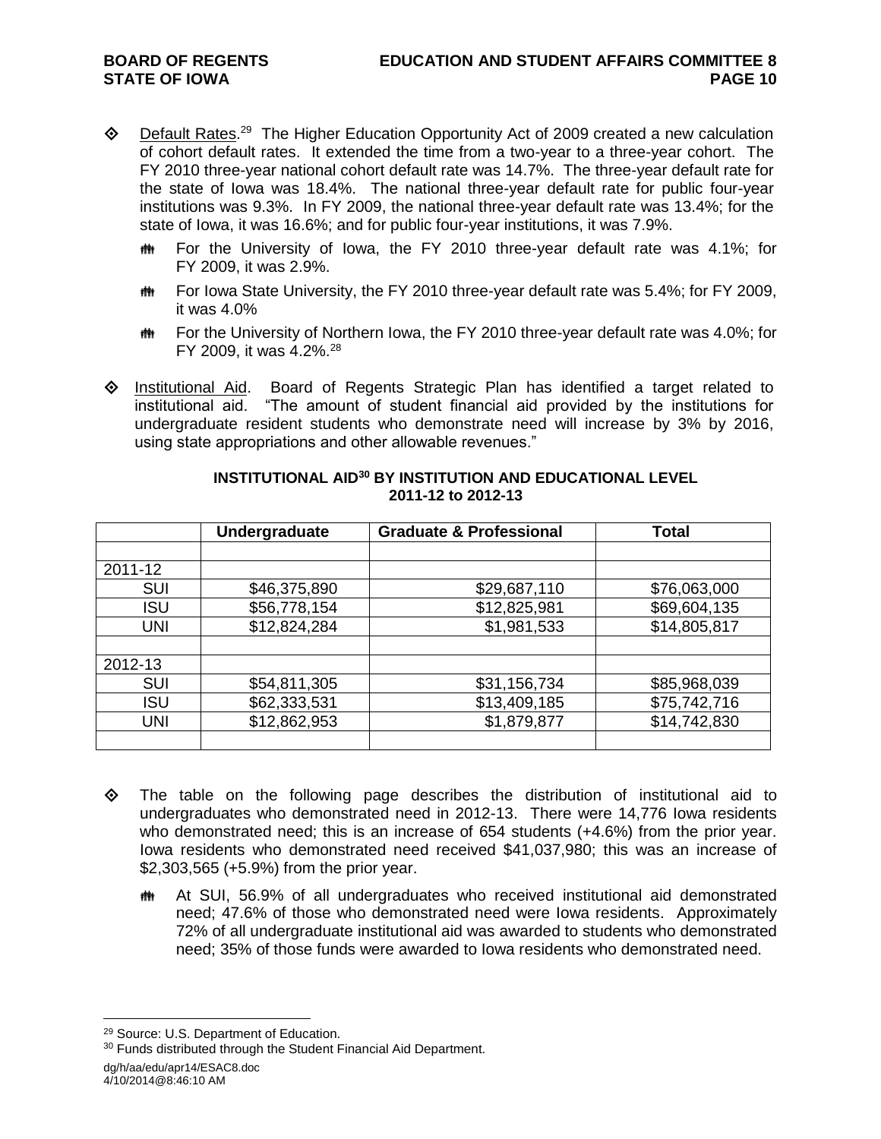- ♦ Default Rates.<sup>29</sup> The Higher Education Opportunity Act of 2009 created a new calculation of cohort default rates. It extended the time from a two-year to a three-year cohort. The FY 2010 three-year national cohort default rate was 14.7%. The three-year default rate for the state of Iowa was 18.4%. The national three-year default rate for public four-year institutions was 9.3%. In FY 2009, the national three-year default rate was 13.4%; for the state of Iowa, it was 16.6%; and for public four-year institutions, it was 7.9%.
	- **##** For the University of Iowa, the FY 2010 three-year default rate was 4.1%; for FY 2009, it was 2.9%.
	- **##** For Iowa State University, the FY 2010 three-year default rate was 5.4%; for FY 2009, it was 4.0%
	- **##** For the University of Northern Iowa, the FY 2010 three-year default rate was 4.0%; for FY 2009, it was 4.2%. 28
- $\diamond$  Institutional Aid. Board of Regents Strategic Plan has identified a target related to institutional aid. "The amount of student financial aid provided by the institutions for undergraduate resident students who demonstrate need will increase by 3% by 2016, using state appropriations and other allowable revenues."

|            | Undergraduate | <b>Graduate &amp; Professional</b> | Total        |
|------------|---------------|------------------------------------|--------------|
|            |               |                                    |              |
| 2011-12    |               |                                    |              |
| <b>SUI</b> | \$46,375,890  | \$29,687,110                       | \$76,063,000 |
| <b>ISU</b> | \$56,778,154  | \$12,825,981                       | \$69,604,135 |
| UNI        | \$12,824,284  | \$1,981,533                        | \$14,805,817 |
|            |               |                                    |              |
| 2012-13    |               |                                    |              |
| <b>SUI</b> | \$54,811,305  | \$31,156,734                       | \$85,968,039 |
| <b>ISU</b> | \$62,333,531  | \$13,409,185                       | \$75,742,716 |
| <b>UNI</b> | \$12,862,953  | \$1,879,877                        | \$14,742,830 |
|            |               |                                    |              |

#### **INSTITUTIONAL AID<sup>30</sup> BY INSTITUTION AND EDUCATIONAL LEVEL 2011-12 to 2012-13**

- $\Leftrightarrow$  The table on the following page describes the distribution of institutional aid to undergraduates who demonstrated need in 2012-13. There were 14,776 Iowa residents who demonstrated need; this is an increase of 654 students (+4.6%) from the prior year. Iowa residents who demonstrated need received \$41,037,980; this was an increase of \$2,303,565 (+5.9%) from the prior year.
	- At SUI, 56.9% of all undergraduates who received institutional aid demonstrated need; 47.6% of those who demonstrated need were Iowa residents. Approximately 72% of all undergraduate institutional aid was awarded to students who demonstrated need; 35% of those funds were awarded to Iowa residents who demonstrated need.

<sup>29</sup> Source: U.S. Department of Education.

<sup>&</sup>lt;sup>30</sup> Funds distributed through the Student Financial Aid Department.

dg/h/aa/edu/apr14/ESAC8.doc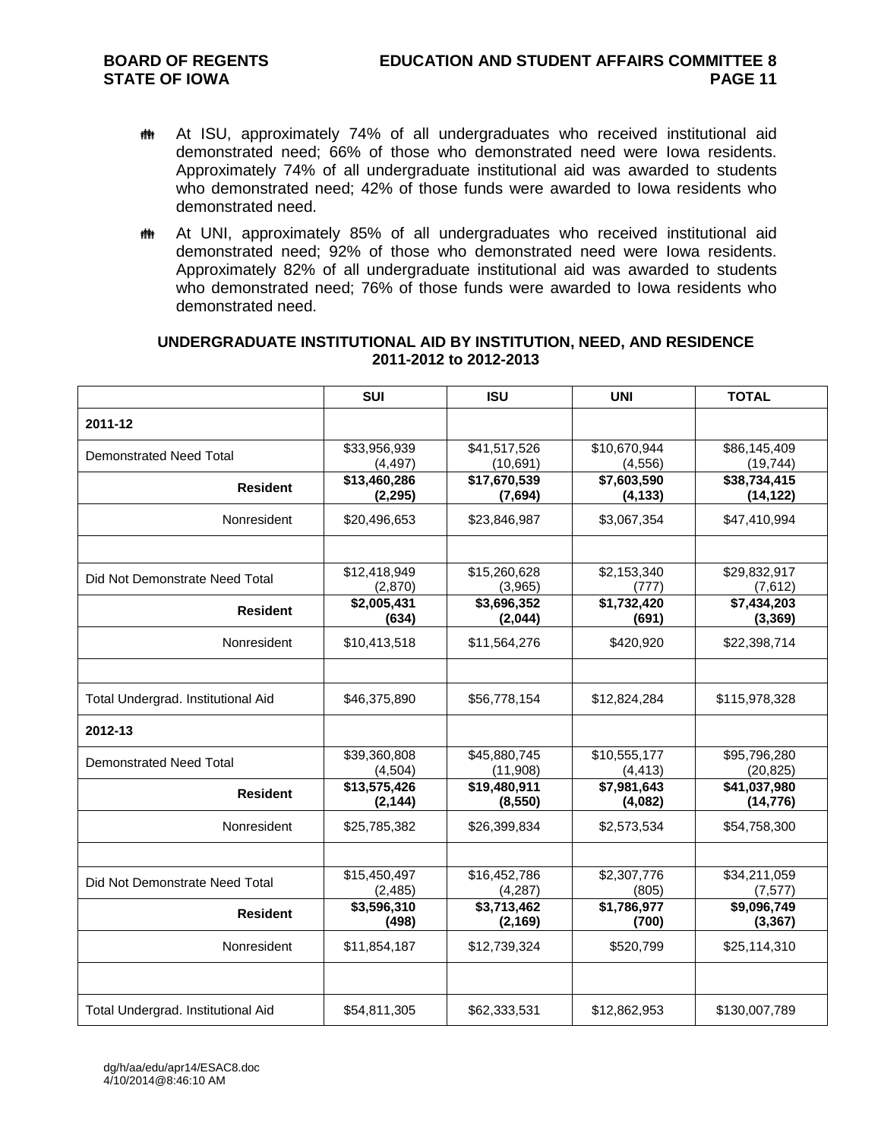- At ISU, approximately 74% of all undergraduates who received institutional aid demonstrated need; 66% of those who demonstrated need were Iowa residents. Approximately 74% of all undergraduate institutional aid was awarded to students who demonstrated need; 42% of those funds were awarded to Iowa residents who demonstrated need.
- **##** At UNI, approximately 85% of all undergraduates who received institutional aid demonstrated need; 92% of those who demonstrated need were Iowa residents. Approximately 82% of all undergraduate institutional aid was awarded to students who demonstrated need; 76% of those funds were awarded to Iowa residents who demonstrated need.

#### **UNDERGRADUATE INSTITUTIONAL AID BY INSTITUTION, NEED, AND RESIDENCE 2011-2012 to 2012-2013**

|                                    | <b>SUI</b>               | <b>ISU</b>                | <b>UNI</b>               | <b>TOTAL</b>              |
|------------------------------------|--------------------------|---------------------------|--------------------------|---------------------------|
| 2011-12                            |                          |                           |                          |                           |
| Demonstrated Need Total            | \$33,956,939<br>(4, 497) | \$41,517,526<br>(10, 691) | \$10,670,944<br>(4, 556) | \$86,145,409<br>(19, 744) |
| <b>Resident</b>                    | \$13,460,286<br>(2, 295) | \$17,670,539<br>(7,694)   | \$7,603,590<br>(4, 133)  | \$38,734,415<br>(14, 122) |
| Nonresident                        | \$20,496,653             | \$23,846,987              | \$3,067,354              | \$47,410,994              |
|                                    |                          |                           |                          |                           |
| Did Not Demonstrate Need Total     | \$12,418,949<br>(2,870)  | \$15,260,628<br>(3,965)   | \$2,153,340<br>(777)     | \$29,832,917<br>(7,612)   |
| <b>Resident</b>                    | \$2,005,431<br>(634)     | \$3,696,352<br>(2,044)    | \$1,732,420<br>(691)     | \$7,434,203<br>(3, 369)   |
| Nonresident                        | \$10,413,518             | \$11,564,276              | \$420,920                | \$22,398,714              |
|                                    |                          |                           |                          |                           |
| Total Undergrad. Institutional Aid | \$46,375,890             | \$56,778,154              | \$12,824,284             | \$115,978,328             |
| 2012-13                            |                          |                           |                          |                           |
| <b>Demonstrated Need Total</b>     | \$39,360,808<br>(4,504)  | \$45,880,745<br>(11,908)  | \$10,555,177<br>(4, 413) | \$95,796,280<br>(20, 825) |
| <b>Resident</b>                    | \$13,575,426<br>(2, 144) | \$19,480,911<br>(8, 550)  | \$7,981,643<br>(4,082)   | \$41,037,980<br>(14, 776) |
| Nonresident                        | \$25,785,382             | \$26,399,834              | \$2,573,534              | \$54,758,300              |
|                                    |                          |                           |                          |                           |
| Did Not Demonstrate Need Total     | \$15,450,497<br>(2, 485) | \$16,452,786<br>(4, 287)  | \$2,307,776<br>(805)     | \$34,211,059<br>(7, 577)  |
| <b>Resident</b>                    | \$3,596,310<br>(498)     | \$3,713,462<br>(2, 169)   | \$1,786,977<br>(700)     | \$9,096,749<br>(3, 367)   |
| Nonresident                        | \$11,854,187             | \$12,739,324              | \$520,799                | \$25,114,310              |
|                                    |                          |                           |                          |                           |
| Total Undergrad. Institutional Aid | \$54,811,305             | \$62,333,531              | \$12,862,953             | \$130,007,789             |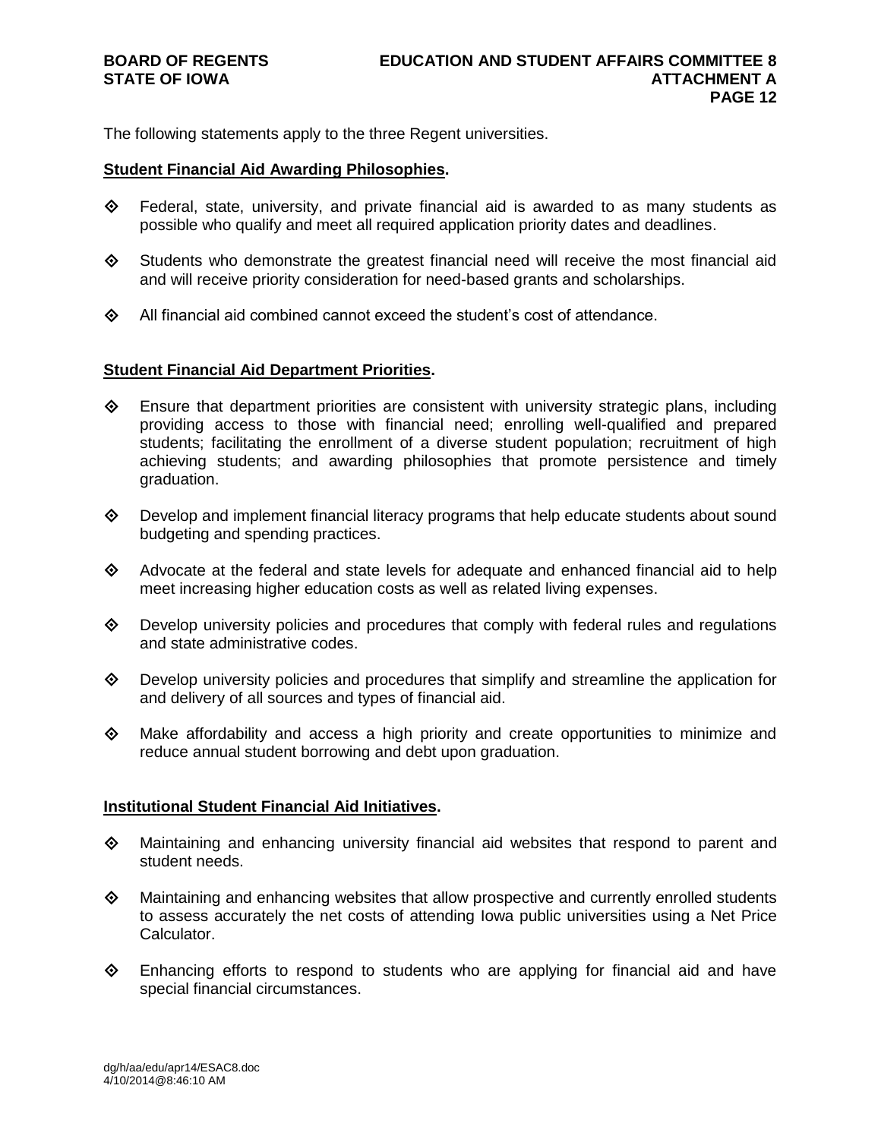The following statements apply to the three Regent universities.

#### **Student Financial Aid Awarding Philosophies.**

- $\diamond$  Federal, state, university, and private financial aid is awarded to as many students as possible who qualify and meet all required application priority dates and deadlines.
- $\diamond$  Students who demonstrate the greatest financial need will receive the most financial aid and will receive priority consideration for need-based grants and scholarships.
- $\diamond$  All financial aid combined cannot exceed the student's cost of attendance.

#### **Student Financial Aid Department Priorities.**

- $\Diamond$  Ensure that department priorities are consistent with university strategic plans, including providing access to those with financial need; enrolling well-qualified and prepared students; facilitating the enrollment of a diverse student population; recruitment of high achieving students; and awarding philosophies that promote persistence and timely graduation.
- $\Diamond$  Develop and implement financial literacy programs that help educate students about sound budgeting and spending practices.
- $\diamond$  Advocate at the federal and state levels for adequate and enhanced financial aid to help meet increasing higher education costs as well as related living expenses.
- $\diamond$  Develop university policies and procedures that comply with federal rules and regulations and state administrative codes.
- $\diamond$  Develop university policies and procedures that simplify and streamline the application for and delivery of all sources and types of financial aid.
- $\Leftrightarrow$  Make affordability and access a high priority and create opportunities to minimize and reduce annual student borrowing and debt upon graduation.

#### **Institutional Student Financial Aid Initiatives.**

- $\Leftrightarrow$  Maintaining and enhancing university financial aid websites that respond to parent and student needs.
- $\Diamond$  Maintaining and enhancing websites that allow prospective and currently enrolled students to assess accurately the net costs of attending Iowa public universities using a Net Price Calculator.
- $\diamond$  Enhancing efforts to respond to students who are applying for financial aid and have special financial circumstances.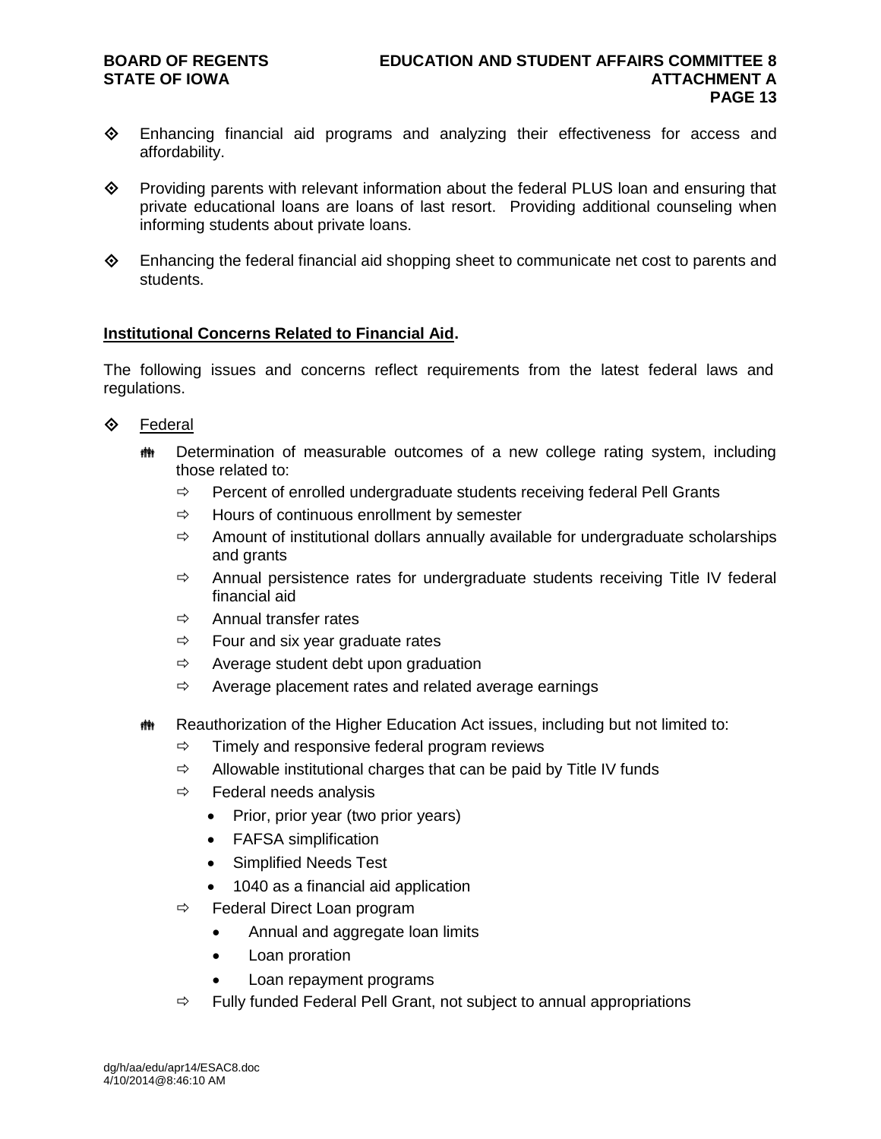# **STATE OF IOWA**

- Enhancing financial aid programs and analyzing their effectiveness for access and affordability.
- $\diamond$  Providing parents with relevant information about the federal PLUS loan and ensuring that private educational loans are loans of last resort. Providing additional counseling when informing students about private loans.
- Enhancing the federal financial aid shopping sheet to communicate net cost to parents and students.

#### **Institutional Concerns Related to Financial Aid.**

The following issues and concerns reflect requirements from the latest federal laws and regulations.

### **♦ Federal**

- **#\*** Determination of measurable outcomes of a new college rating system, including those related to:
	- $\Rightarrow$  Percent of enrolled undergraduate students receiving federal Pell Grants
	- $\Rightarrow$  Hours of continuous enrollment by semester
	- $\Rightarrow$  Amount of institutional dollars annually available for undergraduate scholarships and grants
	- $\Rightarrow$  Annual persistence rates for undergraduate students receiving Title IV federal financial aid
	- $\Rightarrow$  Annual transfer rates
	- $\Rightarrow$  Four and six year graduate rates
	- $\Rightarrow$  Average student debt upon graduation
	- $\Rightarrow$  Average placement rates and related average earnings
- $\ddot{\mathbf{m}}$  Reauthorization of the Higher Education Act issues, including but not limited to:
	- $\Rightarrow$  Timely and responsive federal program reviews
	- $\Rightarrow$  Allowable institutional charges that can be paid by Title IV funds
	- $\Rightarrow$  Federal needs analysis
		- Prior, prior year (two prior years)
		- FAFSA simplification
		- Simplified Needs Test
		- 1040 as a financial aid application
	- $\Rightarrow$  Federal Direct Loan program
		- Annual and aggregate loan limits
		- Loan proration
		- Loan repayment programs
	- $\Rightarrow$  Fully funded Federal Pell Grant, not subject to annual appropriations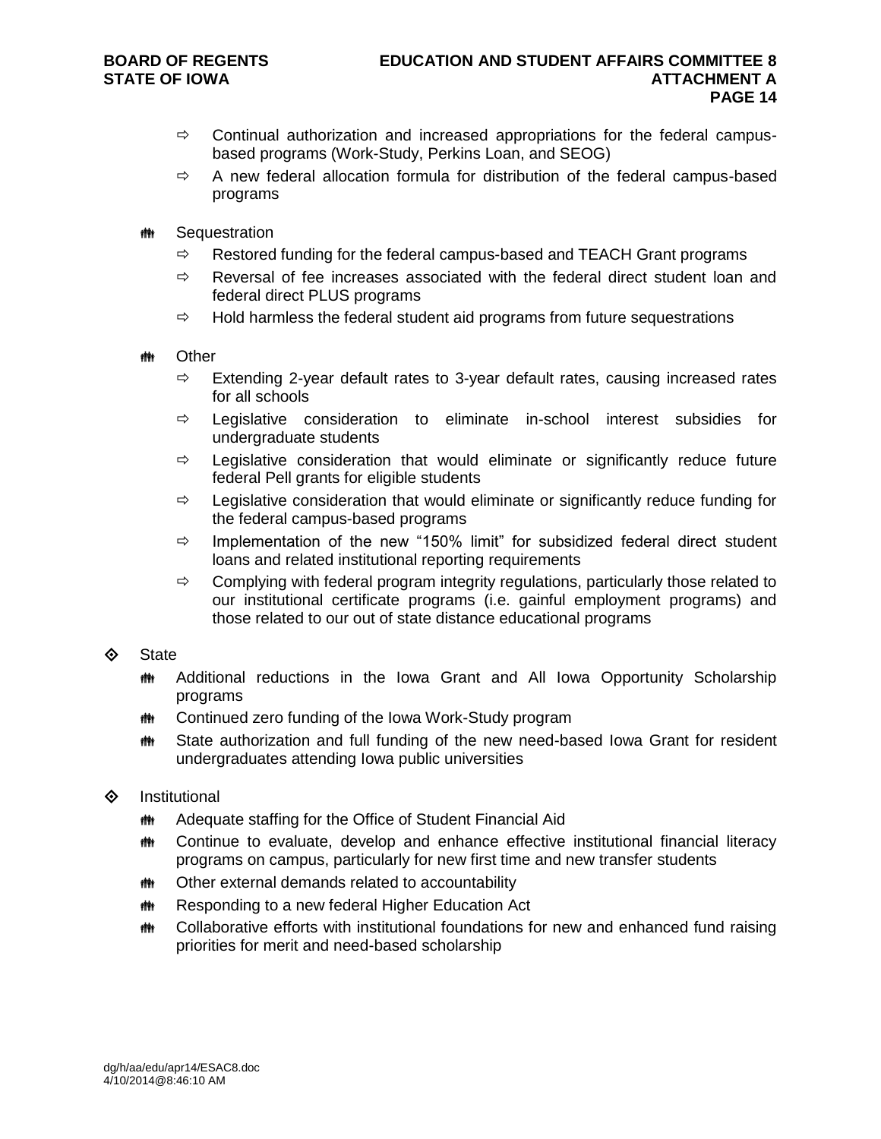- $\Rightarrow$  Continual authorization and increased appropriations for the federal campusbased programs (Work-Study, Perkins Loan, and SEOG)
- $\Rightarrow$  A new federal allocation formula for distribution of the federal campus-based programs
- **\*\*\*** Sequestration
	- $\Rightarrow$  Restored funding for the federal campus-based and TEACH Grant programs
	- $\Rightarrow$  Reversal of fee increases associated with the federal direct student loan and federal direct PLUS programs
	- $\Rightarrow$  Hold harmless the federal student aid programs from future sequestrations
- **tthe Other** 
	- $\Rightarrow$  Extending 2-year default rates to 3-year default rates, causing increased rates for all schools
	- $\Rightarrow$  Legislative consideration to eliminate in-school interest subsidies for undergraduate students
	- $\Rightarrow$  Legislative consideration that would eliminate or significantly reduce future federal Pell grants for eligible students
	- $\Rightarrow$  Legislative consideration that would eliminate or significantly reduce funding for the federal campus-based programs
	- $\Rightarrow$  Implementation of the new "150% limit" for subsidized federal direct student loans and related institutional reporting requirements
	- $\Rightarrow$  Complying with federal program integrity regulations, particularly those related to our institutional certificate programs (i.e. gainful employment programs) and those related to our out of state distance educational programs
- $\diamond$  State
	- **##** Additional reductions in the Iowa Grant and All Iowa Opportunity Scholarship programs
	- **## Continued zero funding of the Iowa Work-Study program**
	- **##** State authorization and full funding of the new need-based lowa Grant for resident undergraduates attending Iowa public universities
- $\diamond$  Institutional
	- **## Adequate staffing for the Office of Student Financial Aid**
	- Continue to evaluate, develop and enhance effective institutional financial literacy programs on campus, particularly for new first time and new transfer students
	- **## Other external demands related to accountability**
	- **## Responding to a new federal Higher Education Act**
	- **##** Collaborative efforts with institutional foundations for new and enhanced fund raising priorities for merit and need-based scholarship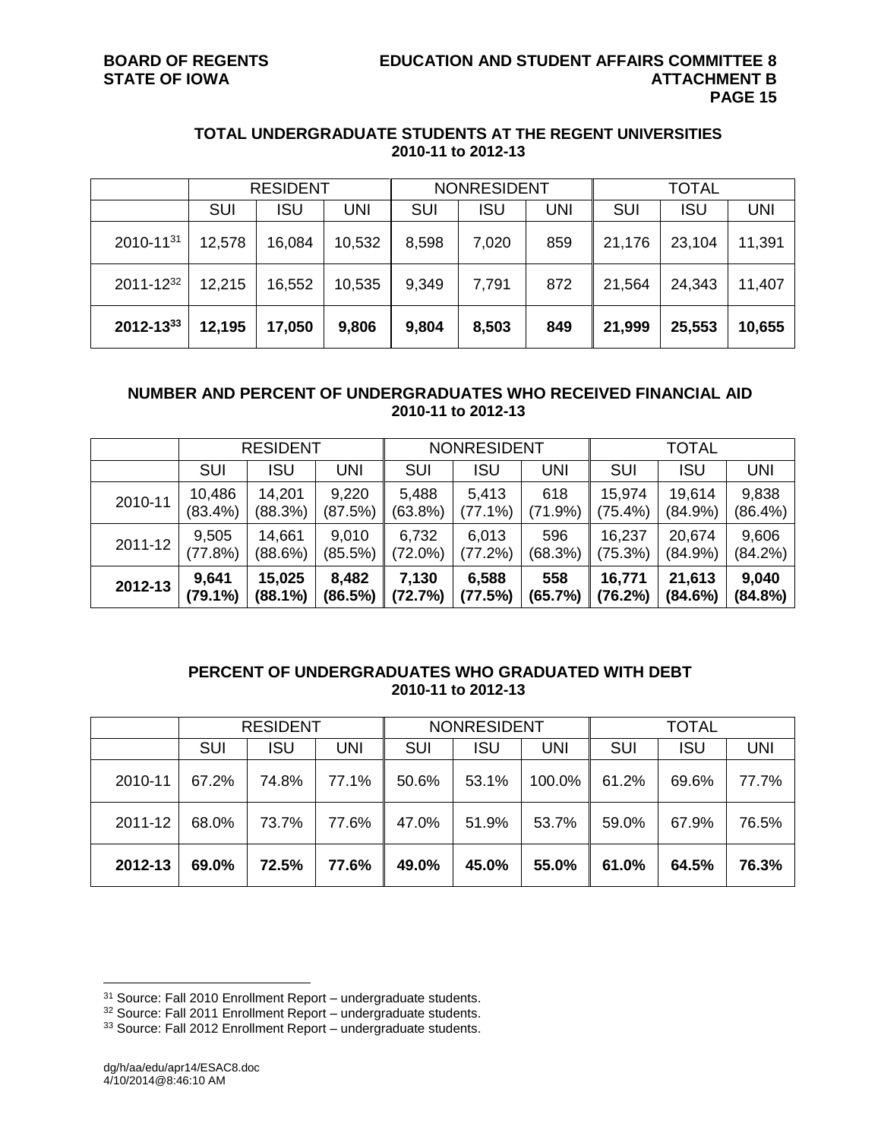#### **TOTAL UNDERGRADUATE STUDENTS AT THE REGENT UNIVERSITIES 2010-11 to 2012-13**

|                  |            | <b>RESIDENT</b> |        |            | <b>NONRESIDENT</b> |            |            | <b>TOTAL</b> |            |
|------------------|------------|-----------------|--------|------------|--------------------|------------|------------|--------------|------------|
|                  | <b>SUI</b> | <b>ISU</b>      | UNI    | <b>SUI</b> | ISU                | <b>UNI</b> | <b>SUI</b> | ISU          | <b>UNI</b> |
| 2010-1131        | 12,578     | 16,084          | 10,532 | 8,598      | 7,020              | 859        | 21,176     | 23,104       | 11,391     |
| 2011-1232        | 12,215     | 16,552          | 10,535 | 9,349      | 7,791              | 872        | 21,564     | 24,343       | 11,407     |
| $2012 - 13^{33}$ | 12,195     | 17,050          | 9,806  | 9,804      | 8,503              | 849        | 21,999     | 25,553       | 10,655     |

#### **NUMBER AND PERCENT OF UNDERGRADUATES WHO RECEIVED FINANCIAL AID 2010-11 to 2012-13**

|         |            | <b>RESIDENT</b> |         |            | <b>NONRESIDENT</b> |            |            |            |            |
|---------|------------|-----------------|---------|------------|--------------------|------------|------------|------------|------------|
|         | SUI        | <b>ISU</b>      | UNI     | <b>SUI</b> | <b>ISU</b>         | <b>UNI</b> | <b>SUI</b> | <b>ISU</b> | <b>UNI</b> |
| 2010-11 | 10,486     | 14,201          | 9,220   | 5,488      | 5,413              | 618        | 15,974     | 19,614     | 9,838      |
|         | $(83.4\%)$ | (88.3%)         | (87.5%) | (63.8%)    | $(77.1\%)$         | (71.9%)    | $(75.4\%)$ | $(84.9\%)$ | $(86.4\%)$ |
| 2011-12 | 9,505      | 14,661          | 9,010   | 6,732      | 6,013              | 596        | 16,237     | 20,674     | 9,606      |
|         | (77.8%)    | (88.6%)         | (85.5%) | (72.0%)    | (77.2%)            | (68.3%)    | (75.3%)    | $(84.9\%)$ | (84.2%)    |
| 2012-13 | 9,641      | 15,025          | 8,482   | 7,130      | 6,588              | 558        | 16,771     | 21,613     | 9,040      |
|         | $(79.1\%)$ | (88.1%)         | (86.5%) | (72.7%)    | (77.5%)            | (65.7%)    | (76.2%)    | (84.6%)    | $(84.8\%)$ |

### **PERCENT OF UNDERGRADUATES WHO GRADUATED WITH DEBT 2010-11 to 2012-13**

|         |            | <b>RESIDENT</b> |       | <b>NONRESIDENT</b> |       |        | <b>TOTAL</b> |            |            |
|---------|------------|-----------------|-------|--------------------|-------|--------|--------------|------------|------------|
|         | <b>SUI</b> | ISU             | UNI   | SUI                | ISU   | UNI    | <b>SUI</b>   | <b>ISU</b> | <b>UNI</b> |
| 2010-11 | 67.2%      | 74.8%           | 77.1% | 50.6%              | 53.1% | 100.0% | 61.2%        | 69.6%      | 77.7%      |
| 2011-12 | 68.0%      | 73.7%           | 77.6% | 47.0%              | 51.9% | 53.7%  | 59.0%        | 67.9%      | 76.5%      |
| 2012-13 | 69.0%      | 72.5%           | 77.6% | 49.0%              | 45.0% | 55.0%  | 61.0%        | 64.5%      | 76.3%      |

<sup>&</sup>lt;sup>31</sup> Source: Fall 2010 Enrollment Report – undergraduate students.

<sup>32</sup> Source: Fall 2011 Enrollment Report – undergraduate students.

<sup>33</sup> Source: Fall 2012 Enrollment Report – undergraduate students.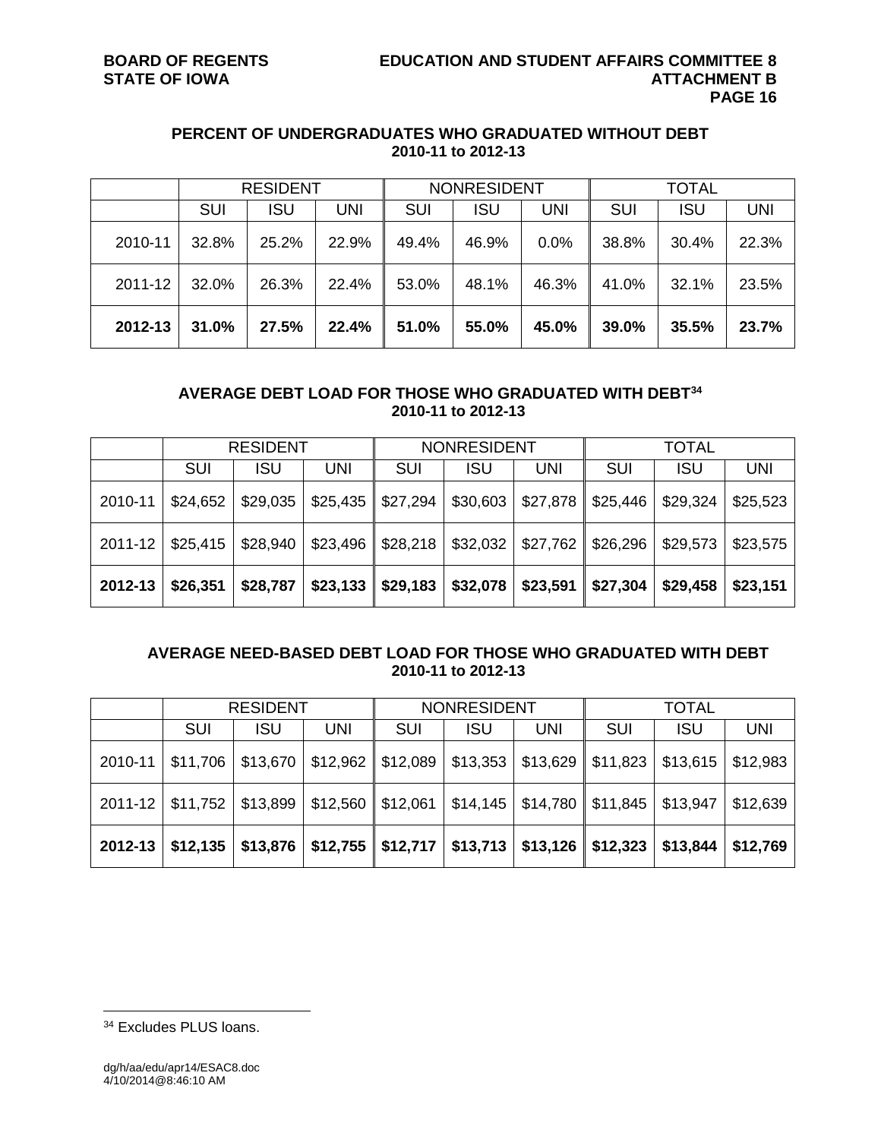#### **PERCENT OF UNDERGRADUATES WHO GRADUATED WITHOUT DEBT 2010-11 to 2012-13**

|         |       | <b>RESIDENT</b> |       | <b>NONRESIDENT</b><br><b>TOTAL</b> |       |            |       |       |            |
|---------|-------|-----------------|-------|------------------------------------|-------|------------|-------|-------|------------|
|         | SUI   | <b>ISU</b>      | UNI   | SUI                                | ISU   | <b>UNI</b> | SUI   | ISU   | <b>UNI</b> |
| 2010-11 | 32.8% | 25.2%           | 22.9% | 49.4%                              | 46.9% | $0.0\%$    | 38.8% | 30.4% | 22.3%      |
| 2011-12 | 32.0% | 26.3%           | 22.4% | 53.0%                              | 48.1% | 46.3%      | 41.0% | 32.1% | 23.5%      |
| 2012-13 | 31.0% | 27.5%           | 22.4% | 51.0%                              | 55.0% | 45.0%      | 39.0% | 35.5% | 23.7%      |

#### **AVERAGE DEBT LOAD FOR THOSE WHO GRADUATED WITH DEBT<sup>34</sup> 2010-11 to 2012-13**

|         | <b>RESIDENT</b> |            |          | <b>NONRESIDENT</b> |            |            | <b>TOTAL</b> |            |          |
|---------|-----------------|------------|----------|--------------------|------------|------------|--------------|------------|----------|
|         | SUI             | <b>ISU</b> | UNI      | SUI                | <b>ISU</b> | <b>UNI</b> | <b>SUI</b>   | <b>ISU</b> | UNI      |
| 2010-11 | \$24,652        | \$29,035   | \$25,435 | \$27,294           | \$30,603   | \$27,878   | \$25,446     | \$29,324   | \$25,523 |
| 2011-12 | \$25,415        | \$28,940   | \$23,496 | \$28,218           | \$32,032   | \$27,762   | \$26,296     | \$29,573   | \$23,575 |
| 2012-13 | \$26,351        | \$28,787   | \$23,133 | \$29,183           | \$32,078   | \$23,591   | \$27,304     | \$29,458   | \$23,151 |

### **AVERAGE NEED-BASED DEBT LOAD FOR THOSE WHO GRADUATED WITH DEBT 2010-11 to 2012-13**

|         | <b>RESIDENT</b>      |            |          | <b>NONRESIDENT</b>                                            |            |                                 | TOTAL                                                        |            |            |
|---------|----------------------|------------|----------|---------------------------------------------------------------|------------|---------------------------------|--------------------------------------------------------------|------------|------------|
|         | SUI                  | <b>ISU</b> | UNI      | SUI                                                           | <b>ISU</b> | UNI                             | <b>SUI</b>                                                   | <b>ISU</b> | <b>UNI</b> |
| 2010-11 | \$11,706             | \$13,670   | \$12,962 | \$12,089                                                      |            | $$13,353$   \$13,629   \$11,823 |                                                              | \$13,615   | \$12,983   |
|         | $2011 - 12$ \$11,752 | \$13,899   |          |                                                               |            |                                 | $\vert$ \$12,560   \$12,061   \$14,145   \$14,780   \$11,845 | \$13,947   | \$12,639   |
| 2012-13 | \$12,135             | \$13,876   |          | $\vert$ \$12,755   \$12,717   \$13,713   \$13,126    \$12,323 |            |                                 |                                                              | \$13,844   | \$12,769   |

<sup>34</sup> Excludes PLUS loans.